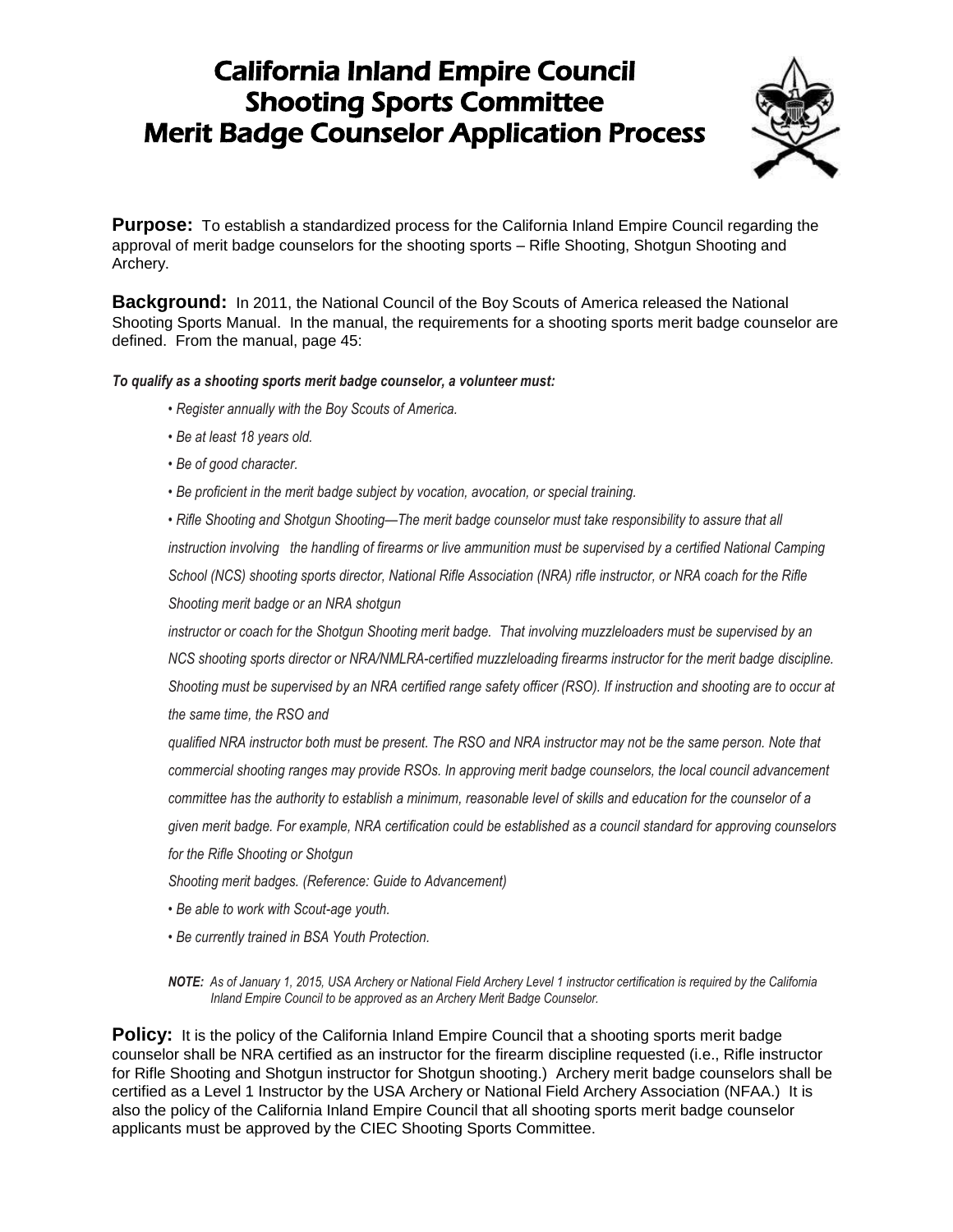## California Inland Empire Council Shooting Sports Committee Merit Badge Counselor Application Process



**Purpose:** To establish a standardized process for the California Inland Empire Council regarding the approval of merit badge counselors for the shooting sports – Rifle Shooting, Shotgun Shooting and Archery.

**Background:** In 2011, the National Council of the Boy Scouts of America released the National Shooting Sports Manual. In the manual, the requirements for a shooting sports merit badge counselor are defined. From the manual, page 45:

## *To qualify as a shooting sports merit badge counselor, a volunteer must:*

- *Register annually with the Boy Scouts of America.*
- *Be at least 18 years old.*
- *Be of good character.*
- *Be proficient in the merit badge subject by vocation, avocation, or special training.*

*• Rifle Shooting and Shotgun Shooting—The merit badge counselor must take responsibility to assure that all instruction involving the handling of firearms or live ammunition must be supervised by a certified National Camping School (NCS) shooting sports director, National Rifle Association (NRA) rifle instructor, or NRA coach for the Rifle Shooting merit badge or an NRA shotgun*

*instructor or coach for the Shotgun Shooting merit badge. That involving muzzleloaders must be supervised by an NCS shooting sports director or NRA/NMLRA-certified muzzleloading firearms instructor for the merit badge discipline. Shooting must be supervised by an NRA certified range safety officer (RSO). If instruction and shooting are to occur at the same time, the RSO and*

*qualified NRA instructor both must be present. The RSO and NRA instructor may not be the same person. Note that commercial shooting ranges may provide RSOs. In approving merit badge counselors, the local council advancement committee has the authority to establish a minimum, reasonable level of skills and education for the counselor of a given merit badge. For example, NRA certification could be established as a council standard for approving counselors for the Rifle Shooting or Shotgun*

*Shooting merit badges. (Reference: Guide to Advancement)*

- *Be able to work with Scout-age youth.*
- *Be currently trained in BSA Youth Protection.*

*NOTE: As of January 1, 2015, USA Archery or National Field Archery Level 1 instructor certification is required by the California Inland Empire Council to be approved as an Archery Merit Badge Counselor.*

**Policy:** It is the policy of the California Inland Empire Council that a shooting sports merit badge counselor shall be NRA certified as an instructor for the firearm discipline requested (i.e., Rifle instructor for Rifle Shooting and Shotgun instructor for Shotgun shooting.) Archery merit badge counselors shall be certified as a Level 1 Instructor by the USA Archery or National Field Archery Association (NFAA.) It is also the policy of the California Inland Empire Council that all shooting sports merit badge counselor applicants must be approved by the CIEC Shooting Sports Committee.